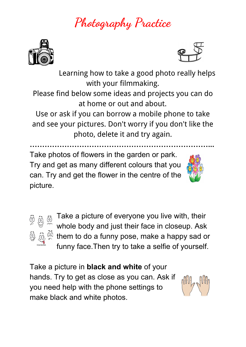## **Photography Practice**





Learning how to take a good photo really helps with your filmmaking.

Please find below some ideas and projects you can do at home or out and about.

Use or ask if you can borrow a mobile phone to take and see your pictures. Don't worry if you don't like the photo, delete it and try again.

**………………………………………………………………...** Take photos of flowers in the garden or park. Try and get as many different colours that you can. Try and get the flower in the centre of the picture.





Take a picture of everyone you live with, their whole body and just their face in closeup. Ask  $\frac{\partial f_{\alpha}}{\partial x}$  them to do a funny pose, make a happy sad or funny face.Then try to take a selfie of yourself.

Take a picture in **black and white** of your hands. Try to get as close as you can. Ask if you need help with the phone settings to make black and white photos.